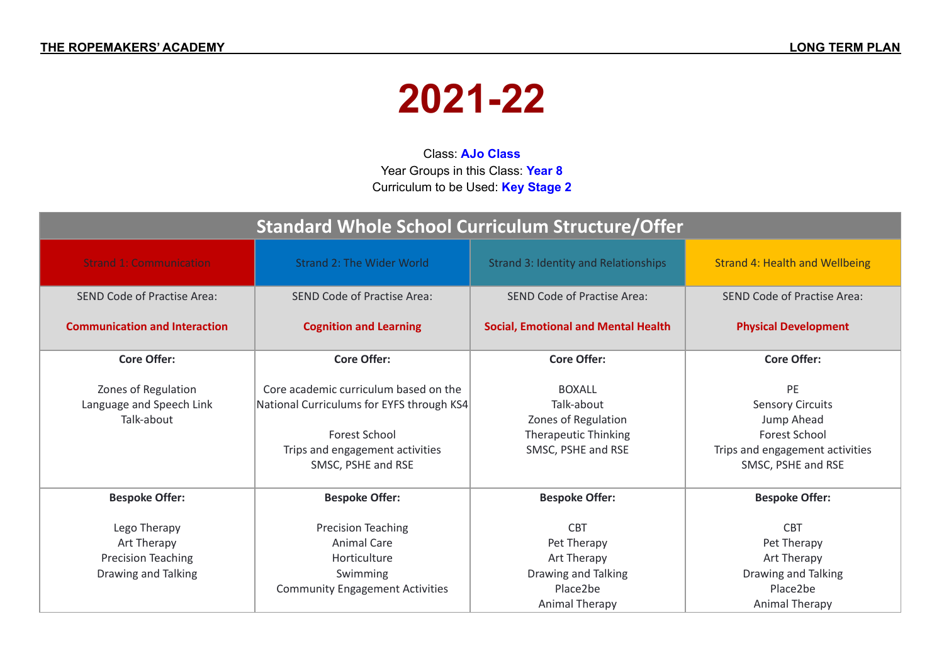## **2021-22**

Class: **AJo Class** Year Groups in this Class: **Year 8** Curriculum to be Used: **Key Stage 2**

| <b>Standard Whole School Curriculum Structure/Offer</b>                         |                                                                                                                                                                     |                                                                                                         |                                                                                                                              |
|---------------------------------------------------------------------------------|---------------------------------------------------------------------------------------------------------------------------------------------------------------------|---------------------------------------------------------------------------------------------------------|------------------------------------------------------------------------------------------------------------------------------|
| <b>Strand 1: Communication</b>                                                  | <b>Strand 2: The Wider World</b>                                                                                                                                    | <b>Strand 3: Identity and Relationships</b>                                                             | <b>Strand 4: Health and Wellbeing</b>                                                                                        |
| SEND Code of Practise Area:                                                     | <b>SEND Code of Practise Area:</b>                                                                                                                                  | <b>SEND Code of Practise Area:</b>                                                                      | <b>SEND Code of Practise Area:</b>                                                                                           |
| <b>Communication and Interaction</b><br><b>Cognition and Learning</b>           |                                                                                                                                                                     | <b>Social, Emotional and Mental Health</b>                                                              | <b>Physical Development</b>                                                                                                  |
| <b>Core Offer:</b>                                                              | <b>Core Offer:</b>                                                                                                                                                  | <b>Core Offer:</b>                                                                                      | <b>Core Offer:</b>                                                                                                           |
| Zones of Regulation<br>Language and Speech Link<br>Talk-about                   | Core academic curriculum based on the<br>National Curriculums for EYFS through KS4<br><b>Forest School</b><br>Trips and engagement activities<br>SMSC, PSHE and RSE | <b>BOXALL</b><br>Talk-about<br>Zones of Regulation<br><b>Therapeutic Thinking</b><br>SMSC, PSHE and RSE | PE<br><b>Sensory Circuits</b><br>Jump Ahead<br><b>Forest School</b><br>Trips and engagement activities<br>SMSC, PSHE and RSE |
| <b>Bespoke Offer:</b>                                                           | <b>Bespoke Offer:</b>                                                                                                                                               | <b>Bespoke Offer:</b>                                                                                   | <b>Bespoke Offer:</b>                                                                                                        |
| Lego Therapy<br>Art Therapy<br><b>Precision Teaching</b><br>Drawing and Talking | <b>Precision Teaching</b><br>Animal Care<br>Horticulture<br>Swimming<br><b>Community Engagement Activities</b>                                                      | <b>CBT</b><br>Pet Therapy<br>Art Therapy<br>Drawing and Talking<br>Place2be<br><b>Animal Therapy</b>    | <b>CBT</b><br>Pet Therapy<br>Art Therapy<br>Drawing and Talking<br>Place2be<br>Animal Therapy                                |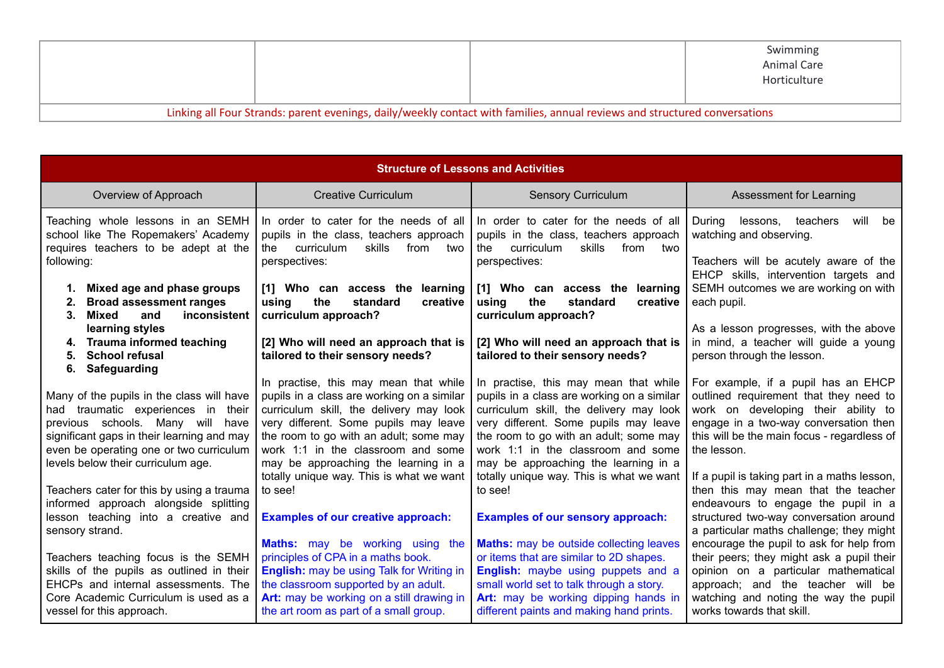|                                                                                                                            |  |  | Swimming<br>Animal Care<br>Horticulture |
|----------------------------------------------------------------------------------------------------------------------------|--|--|-----------------------------------------|
| Linking all Four Strands: parent evenings, daily/weekly contact with families, annual reviews and structured conversations |  |  |                                         |

| <b>Structure of Lessons and Activities</b>                                                                                                                                                                   |                                                                                                                                                                                                                                                                 |                                                                                                                                                                                                                                                                                                 |                                                                                                                                                                                                                                          |
|--------------------------------------------------------------------------------------------------------------------------------------------------------------------------------------------------------------|-----------------------------------------------------------------------------------------------------------------------------------------------------------------------------------------------------------------------------------------------------------------|-------------------------------------------------------------------------------------------------------------------------------------------------------------------------------------------------------------------------------------------------------------------------------------------------|------------------------------------------------------------------------------------------------------------------------------------------------------------------------------------------------------------------------------------------|
| Overview of Approach                                                                                                                                                                                         | <b>Creative Curriculum</b>                                                                                                                                                                                                                                      | <b>Sensory Curriculum</b>                                                                                                                                                                                                                                                                       | Assessment for Learning                                                                                                                                                                                                                  |
| Teaching whole lessons in an SEMH<br>school like The Ropemakers' Academy<br>requires teachers to be adept at the<br>following:                                                                               | In order to cater for the needs of all<br>pupils in the class, teachers approach<br>curriculum<br>skills<br>from<br>two<br>the<br>perspectives:                                                                                                                 | In order to cater for the needs of all<br>pupils in the class, teachers approach<br>curriculum<br>skills<br>from two<br>the<br>perspectives:                                                                                                                                                    | lessons,<br>teachers<br>will<br>During<br>be<br>watching and observing.<br>Teachers will be acutely aware of the<br>EHCP skills, intervention targets and                                                                                |
| Mixed age and phase groups<br>1.<br><b>Broad assessment ranges</b><br>2.<br>Mixed<br>and<br>inconsistent<br>З.                                                                                               | [1] Who can access the learning<br>using<br>standard<br>the<br>creative<br>curriculum approach?                                                                                                                                                                 | [1] Who can access the<br>learning<br>standard<br>using<br>the<br>creative<br>curriculum approach?                                                                                                                                                                                              | SEMH outcomes we are working on with<br>each pupil.                                                                                                                                                                                      |
| learning styles<br><b>Trauma informed teaching</b><br>4.<br><b>School refusal</b><br>5.<br>Safeguarding<br>6.                                                                                                | [2] Who will need an approach that is<br>tailored to their sensory needs?                                                                                                                                                                                       | [2] Who will need an approach that is<br>tailored to their sensory needs?                                                                                                                                                                                                                       | As a lesson progresses, with the above<br>in mind, a teacher will guide a young<br>person through the lesson.                                                                                                                            |
| Many of the pupils in the class will have<br>had traumatic experiences in their<br>previous schools. Many will have<br>significant gaps in their learning and may<br>even be operating one or two curriculum | In practise, this may mean that while<br>pupils in a class are working on a similar<br>curriculum skill, the delivery may look<br>very different. Some pupils may leave<br>the room to go with an adult; some may<br>work 1:1 in the classroom and some         | In practise, this may mean that while<br>pupils in a class are working on a similar<br>curriculum skill, the delivery may look<br>very different. Some pupils may leave<br>the room to go with an adult; some may<br>work 1:1 in the classroom and some<br>may be approaching the learning in a | For example, if a pupil has an EHCP<br>outlined requirement that they need to<br>work on developing their ability to<br>engage in a two-way conversation then<br>this will be the main focus - regardless of<br>the lesson.              |
| levels below their curriculum age.<br>Teachers cater for this by using a trauma<br>informed approach alongside splitting<br>lesson teaching into a creative and<br>sensory strand.                           | may be approaching the learning in a<br>totally unique way. This is what we want<br>to see!<br><b>Examples of our creative approach:</b>                                                                                                                        | totally unique way. This is what we want<br>to see!<br><b>Examples of our sensory approach:</b><br><b>Maths:</b> may be outside collecting leaves                                                                                                                                               | If a pupil is taking part in a maths lesson,<br>then this may mean that the teacher<br>endeavours to engage the pupil in a<br>structured two-way conversation around<br>a particular maths challenge; they might                         |
| Teachers teaching focus is the SEMH<br>skills of the pupils as outlined in their<br>EHCPs and internal assessments. The<br>Core Academic Curriculum is used as a<br>vessel for this approach.                | <b>Maths:</b> may be working using the<br>principles of CPA in a maths book.<br><b>English:</b> may be using Talk for Writing in<br>the classroom supported by an adult.<br>Art: may be working on a still drawing in<br>the art room as part of a small group. | or items that are similar to 2D shapes.<br>English: maybe using puppets and a<br>small world set to talk through a story.<br>Art: may be working dipping hands in<br>different paints and making hand prints.                                                                                   | encourage the pupil to ask for help from<br>their peers; they might ask a pupil their<br>opinion on a particular mathematical<br>approach; and the teacher will be<br>watching and noting the way the pupil<br>works towards that skill. |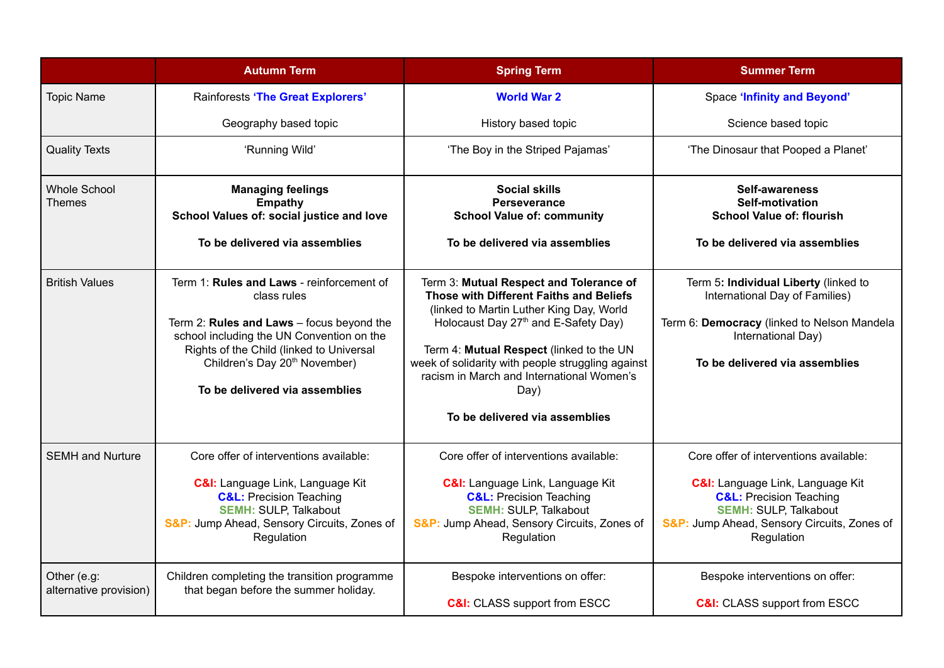|                                       | <b>Autumn Term</b>                                                                                                                                                                                                                                                            | <b>Spring Term</b>                                                                                                                                                                                                                                                                                                                                                         | <b>Summer Term</b>                                                                                                                                                                                                       |
|---------------------------------------|-------------------------------------------------------------------------------------------------------------------------------------------------------------------------------------------------------------------------------------------------------------------------------|----------------------------------------------------------------------------------------------------------------------------------------------------------------------------------------------------------------------------------------------------------------------------------------------------------------------------------------------------------------------------|--------------------------------------------------------------------------------------------------------------------------------------------------------------------------------------------------------------------------|
| <b>Topic Name</b>                     | <b>Rainforests 'The Great Explorers'</b>                                                                                                                                                                                                                                      | <b>World War 2</b>                                                                                                                                                                                                                                                                                                                                                         | <b>Space 'Infinity and Beyond'</b>                                                                                                                                                                                       |
|                                       | Geography based topic                                                                                                                                                                                                                                                         | History based topic                                                                                                                                                                                                                                                                                                                                                        | Science based topic                                                                                                                                                                                                      |
| <b>Quality Texts</b>                  | 'Running Wild'                                                                                                                                                                                                                                                                | 'The Boy in the Striped Pajamas'                                                                                                                                                                                                                                                                                                                                           | 'The Dinosaur that Pooped a Planet'                                                                                                                                                                                      |
| <b>Whole School</b><br>Themes         | <b>Managing feelings</b><br><b>Empathy</b><br>School Values of: social justice and love<br>To be delivered via assemblies                                                                                                                                                     | <b>Social skills</b><br><b>Perseverance</b><br><b>School Value of: community</b><br>To be delivered via assemblies                                                                                                                                                                                                                                                         | <b>Self-awareness</b><br><b>Self-motivation</b><br><b>School Value of: flourish</b><br>To be delivered via assemblies                                                                                                    |
| <b>British Values</b>                 | Term 1: Rules and Laws - reinforcement of<br>class rules<br>Term 2: Rules and Laws - focus beyond the<br>school including the UN Convention on the<br>Rights of the Child (linked to Universal<br>Children's Day 20 <sup>th</sup> November)<br>To be delivered via assemblies | Term 3: Mutual Respect and Tolerance of<br>Those with Different Faiths and Beliefs<br>(linked to Martin Luther King Day, World<br>Holocaust Day 27 <sup>th</sup> and E-Safety Day)<br>Term 4: Mutual Respect (linked to the UN<br>week of solidarity with people struggling against<br>racism in March and International Women's<br>Day)<br>To be delivered via assemblies | Term 5: Individual Liberty (linked to<br>International Day of Families)<br>Term 6: Democracy (linked to Nelson Mandela<br>International Day)<br>To be delivered via assemblies                                           |
| <b>SEMH</b> and Nurture               | Core offer of interventions available:<br><b>C&amp;I:</b> Language Link, Language Kit<br><b>C&amp;L: Precision Teaching</b><br><b>SEMH: SULP, Talkabout</b><br>S&P: Jump Ahead, Sensory Circuits, Zones of<br>Regulation                                                      | Core offer of interventions available:<br><b>C&amp;I:</b> Language Link, Language Kit<br><b>C&amp;L: Precision Teaching</b><br><b>SEMH: SULP, Talkabout</b><br>S&P: Jump Ahead, Sensory Circuits, Zones of<br>Regulation                                                                                                                                                   | Core offer of interventions available:<br><b>C&amp;I:</b> Language Link, Language Kit<br><b>C&amp;L:</b> Precision Teaching<br><b>SEMH: SULP, Talkabout</b><br>S&P: Jump Ahead, Sensory Circuits, Zones of<br>Regulation |
| Other (e.g:<br>alternative provision) | Children completing the transition programme<br>that began before the summer holiday.                                                                                                                                                                                         | Bespoke interventions on offer:<br><b>C&amp;I:</b> CLASS support from ESCC                                                                                                                                                                                                                                                                                                 | Bespoke interventions on offer:<br><b>C&amp;I:</b> CLASS support from ESCC                                                                                                                                               |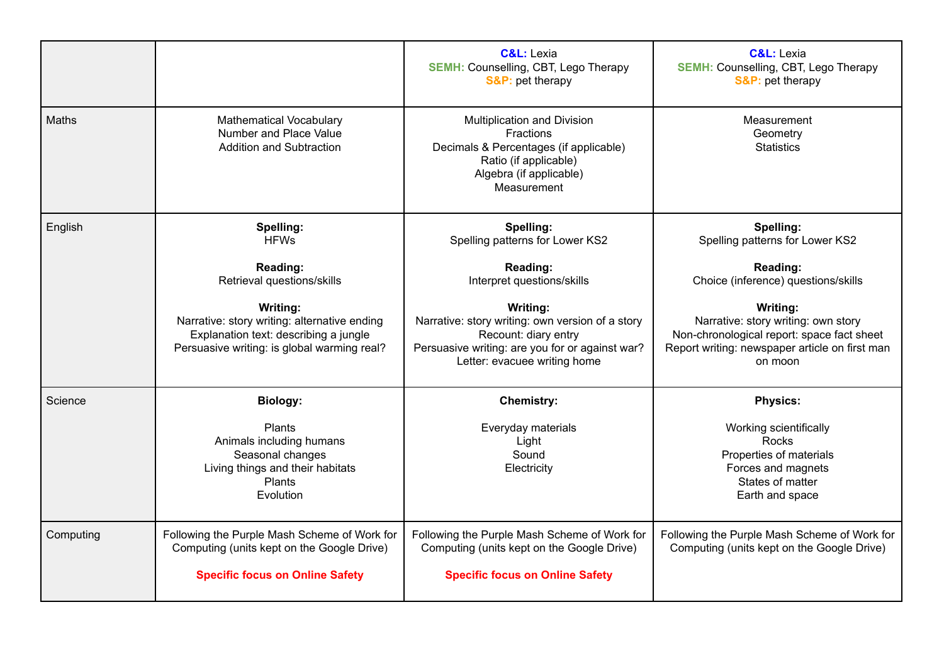|           |                                                                                                                                                  | <b>C&amp;L: Lexia</b><br><b>SEMH: Counselling, CBT, Lego Therapy</b><br><b>S&amp;P:</b> pet therapy                                                                     | <b>C&amp;L:</b> Lexia<br><b>SEMH: Counselling, CBT, Lego Therapy</b><br><b>S&amp;P:</b> pet therapy                                                        |
|-----------|--------------------------------------------------------------------------------------------------------------------------------------------------|-------------------------------------------------------------------------------------------------------------------------------------------------------------------------|------------------------------------------------------------------------------------------------------------------------------------------------------------|
| Maths     | <b>Mathematical Vocabulary</b><br>Number and Place Value<br>Addition and Subtraction                                                             | Multiplication and Division<br><b>Fractions</b><br>Decimals & Percentages (if applicable)<br>Ratio (if applicable)<br>Algebra (if applicable)<br>Measurement            | Measurement<br>Geometry<br><b>Statistics</b>                                                                                                               |
| English   | Spelling:<br><b>HFWs</b>                                                                                                                         | Spelling:<br>Spelling patterns for Lower KS2                                                                                                                            | Spelling:<br>Spelling patterns for Lower KS2                                                                                                               |
|           | Reading:<br>Retrieval questions/skills                                                                                                           | Reading:<br>Interpret questions/skills                                                                                                                                  | Reading:<br>Choice (inference) questions/skills                                                                                                            |
|           | Writing:<br>Narrative: story writing: alternative ending<br>Explanation text: describing a jungle<br>Persuasive writing: is global warming real? | Writing:<br>Narrative: story writing: own version of a story<br>Recount: diary entry<br>Persuasive writing: are you for or against war?<br>Letter: evacuee writing home | Writing:<br>Narrative: story writing: own story<br>Non-chronological report: space fact sheet<br>Report writing: newspaper article on first man<br>on moon |
| Science   | <b>Biology:</b>                                                                                                                                  | <b>Chemistry:</b>                                                                                                                                                       | <b>Physics:</b>                                                                                                                                            |
|           | <b>Plants</b><br>Animals including humans<br>Seasonal changes<br>Living things and their habitats<br><b>Plants</b><br>Evolution                  | Everyday materials<br>Light<br>Sound<br>Electricity                                                                                                                     | Working scientifically<br><b>Rocks</b><br>Properties of materials<br>Forces and magnets<br>States of matter<br>Earth and space                             |
| Computing | Following the Purple Mash Scheme of Work for<br>Computing (units kept on the Google Drive)                                                       | Following the Purple Mash Scheme of Work for<br>Computing (units kept on the Google Drive)                                                                              | Following the Purple Mash Scheme of Work for<br>Computing (units kept on the Google Drive)                                                                 |
|           | <b>Specific focus on Online Safety</b>                                                                                                           | <b>Specific focus on Online Safety</b>                                                                                                                                  |                                                                                                                                                            |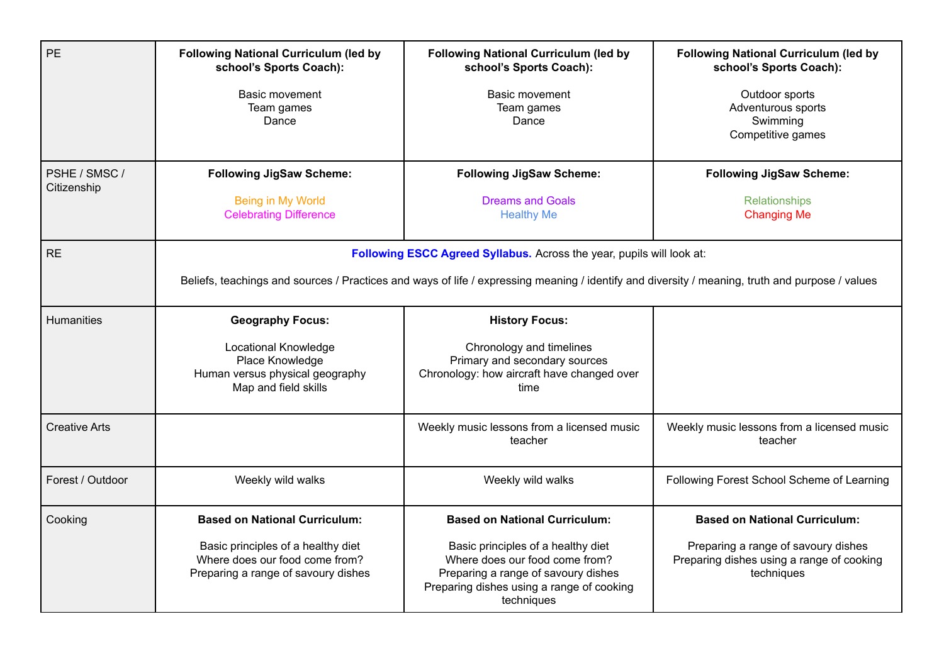| PE                           | <b>Following National Curriculum (led by</b><br>school's Sports Coach):<br>Basic movement<br>Team games<br>Dance                                                                                                         | <b>Following National Curriculum (led by</b><br>school's Sports Coach):<br>Basic movement<br>Team games<br>Dance                                                                                               | <b>Following National Curriculum (led by</b><br>school's Sports Coach):<br>Outdoor sports<br>Adventurous sports<br>Swimming<br>Competitive games |
|------------------------------|--------------------------------------------------------------------------------------------------------------------------------------------------------------------------------------------------------------------------|----------------------------------------------------------------------------------------------------------------------------------------------------------------------------------------------------------------|--------------------------------------------------------------------------------------------------------------------------------------------------|
| PSHE / SMSC /<br>Citizenship | <b>Following JigSaw Scheme:</b><br>Being in My World<br><b>Celebrating Difference</b>                                                                                                                                    | <b>Following JigSaw Scheme:</b><br><b>Dreams and Goals</b><br><b>Healthy Me</b>                                                                                                                                | <b>Following JigSaw Scheme:</b><br>Relationships<br><b>Changing Me</b>                                                                           |
| <b>RE</b>                    | Following ESCC Agreed Syllabus. Across the year, pupils will look at:<br>Beliefs, teachings and sources / Practices and ways of life / expressing meaning / identify and diversity / meaning, truth and purpose / values |                                                                                                                                                                                                                |                                                                                                                                                  |
| Humanities                   | <b>Geography Focus:</b><br>Locational Knowledge<br>Place Knowledge<br>Human versus physical geography<br>Map and field skills                                                                                            | <b>History Focus:</b><br>Chronology and timelines<br>Primary and secondary sources<br>Chronology: how aircraft have changed over<br>time                                                                       |                                                                                                                                                  |
| <b>Creative Arts</b>         |                                                                                                                                                                                                                          | Weekly music lessons from a licensed music<br>teacher                                                                                                                                                          | Weekly music lessons from a licensed music<br>teacher                                                                                            |
| Forest / Outdoor             | Weekly wild walks                                                                                                                                                                                                        | Weekly wild walks                                                                                                                                                                                              | Following Forest School Scheme of Learning                                                                                                       |
| Cooking                      | <b>Based on National Curriculum:</b><br>Basic principles of a healthy diet<br>Where does our food come from?<br>Preparing a range of savoury dishes                                                                      | <b>Based on National Curriculum:</b><br>Basic principles of a healthy diet<br>Where does our food come from?<br>Preparing a range of savoury dishes<br>Preparing dishes using a range of cooking<br>techniques | <b>Based on National Curriculum:</b><br>Preparing a range of savoury dishes<br>Preparing dishes using a range of cooking<br>techniques           |